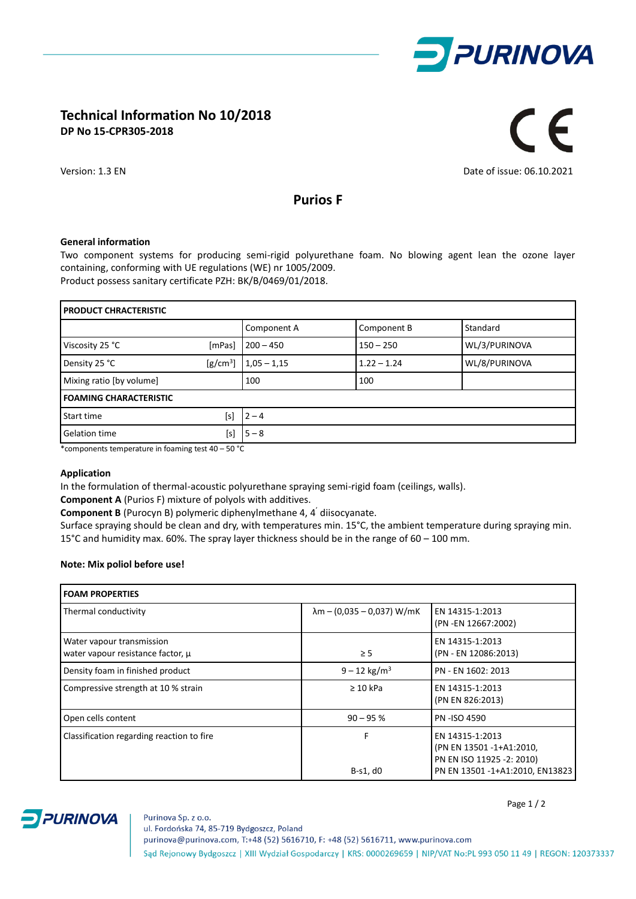

# **Technical Information No 10/2018 DP No 15-CPR305-2018**

# $C \in$

Version: 1.3 EN Date of issue: 06.10.2021

## **Purios F**

### **General information**

Two component systems for producing semi-rigid polyurethane foam. No blowing agent lean the ozone layer containing, conforming with UE regulations (WE) nr 1005/2009. Product possess sanitary certificate PZH: BK/B/0469/01/2018.

| <b>PRODUCT CHRACTERISTIC</b>  |            |               |               |               |  |
|-------------------------------|------------|---------------|---------------|---------------|--|
|                               |            | Component A   | Component B   | Standard      |  |
| Viscosity 25 °C               | [mPas]     | $200 - 450$   | $150 - 250$   | WL/3/PURINOVA |  |
| Density 25 °C                 | $[g/cm^3]$ | $1,05 - 1,15$ | $1.22 - 1.24$ | WL/8/PURINOVA |  |
| Mixing ratio [by volume]      |            | 100           | 100           |               |  |
| <b>FOAMING CHARACTERISTIC</b> |            |               |               |               |  |
| Start time                    | [s]        | $2 - 4$       |               |               |  |
| <b>Gelation time</b>          | [s]        | $5 - 8$       |               |               |  |

\*components temperature in foaming test 40 – 50 °C

### **Application**

In the formulation of thermal-acoustic polyurethane spraying semi-rigid foam (ceilings, walls).

**Component A** (Purios F) mixture of polyols with additives.

**Component B** (Purocyn B) polymeric diphenylmethane 4, 4' diisocyanate.

Surface spraying should be clean and dry, with temperatures min. 15°C, the ambient temperature during spraying min. 15°C and humidity max. 60%. The spray layer thickness should be in the range of 60 – 100 mm.

### **Note: Mix poliol before use!**

| <b>FOAM PROPERTIES</b>                                         |                                    |                                                                                                             |  |  |
|----------------------------------------------------------------|------------------------------------|-------------------------------------------------------------------------------------------------------------|--|--|
| Thermal conductivity                                           | $\lambda$ m – (0,035 – 0,037) W/mK | EN 14315-1:2013<br>(PN - EN 12667:2002)                                                                     |  |  |
| Water vapour transmission<br>water vapour resistance factor, u | $\geq$ 5                           | EN 14315-1:2013<br>(PN - EN 12086:2013)                                                                     |  |  |
| Density foam in finished product                               | $9 - 12$ kg/m <sup>3</sup>         | PN - EN 1602: 2013                                                                                          |  |  |
| Compressive strength at 10 % strain                            | $\geq 10$ kPa                      | EN 14315-1:2013<br>(PN EN 826:2013)                                                                         |  |  |
| Open cells content                                             | $90 - 95%$                         | <b>PN-ISO 4590</b>                                                                                          |  |  |
| Classification regarding reaction to fire                      | F<br>$B-S1, d0$                    | EN 14315-1:2013<br>(PN EN 13501 -1+A1:2010,<br>PN EN ISO 11925 -2: 2010)<br>PN EN 13501 -1+A1:2010, EN13823 |  |  |



Page 1 / 2